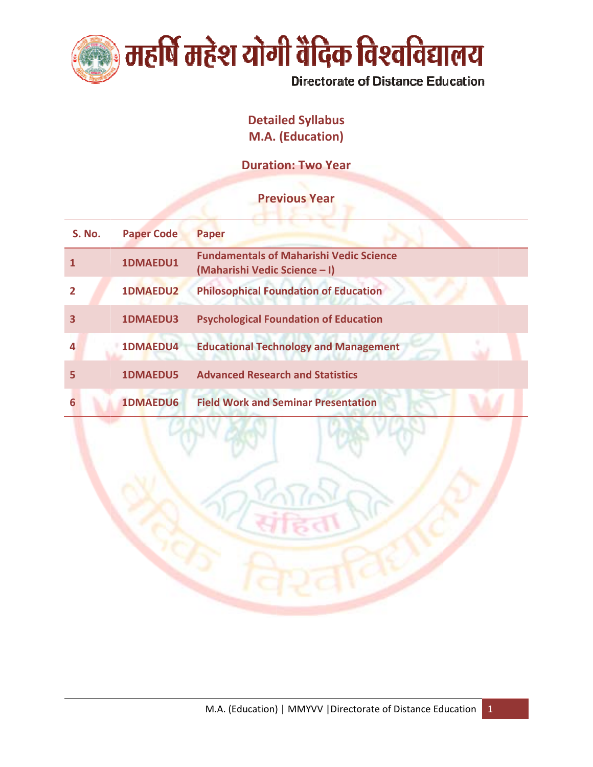

# **Detailed Syllabus** M.A. (Education)

**Duration: Two Year** 

# **Previous Year**

| <b>S. No.</b> | <b>Paper Code</b> | <b>Paper</b>                                                                    |
|---------------|-------------------|---------------------------------------------------------------------------------|
|               | 1DMAEDU1          | <b>Fundamentals of Maharishi Vedic Science</b><br>(Maharishi Vedic Science - I) |
|               | <b>1DMAEDU2</b>   | <b>Philosophical Foundation of Education</b>                                    |
| 3             | 1DMAEDU3          | <b>Psychological Foundation of Education</b>                                    |
|               | 1DMAEDU4          | <b>Educational Technology and Management</b>                                    |
|               | <b>1DMAEDU5</b>   | <b>Advanced Research and Statistics</b>                                         |
|               | <b>1DMAEDU6</b>   | <b>Field Work and Seminar Presentation</b>                                      |

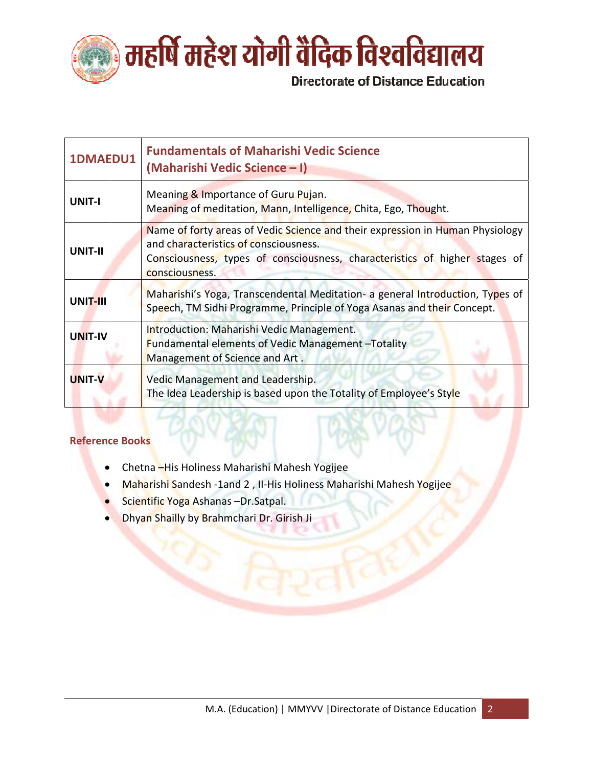

| 1DMAEDU1       | <b>Fundamentals of Maharishi Vedic Science</b><br>(Maharishi Vedic Science - I)                                                                                                                                        |
|----------------|------------------------------------------------------------------------------------------------------------------------------------------------------------------------------------------------------------------------|
| <b>UNIT-I</b>  | Meaning & Importance of Guru Pujan.<br>Meaning of meditation, Mann, Intelligence, Chita, Ego, Thought.                                                                                                                 |
| UNIT-II        | Name of forty areas of Vedic Science and their expression in Human Physiology<br>and characteristics of consciousness.<br>Consciousness, types of consciousness, characteristics of higher stages of<br>consciousness. |
| UNIT-III       | Maharishi's Yoga, Transcendental Meditation- a general Introduction, Types of<br>Speech, TM Sidhi Programme, Principle of Yoga Asanas and their Concept.                                                               |
| <b>UNIT-IV</b> | Introduction: Maharishi Vedic Management.<br><b>Fundamental elements of Vedic Management-Totality</b><br>Management of Science and Art.                                                                                |
| <b>UNIT-V</b>  | Vedic Management and Leadership.<br>The Idea Leadership is based upon the Totality of Employee's Style                                                                                                                 |

- Chetna His Holiness Maharishi Mahesh Yogijee
- Maharishi Sandesh -1and 2, II-His Holiness Maharishi Mahesh Yogijee  $\bullet$
- Scientific Yoga Ashanas Dr. Satpal.
- Dhyan Shailly by Brahmchari Dr. Girish Ji  $\bullet$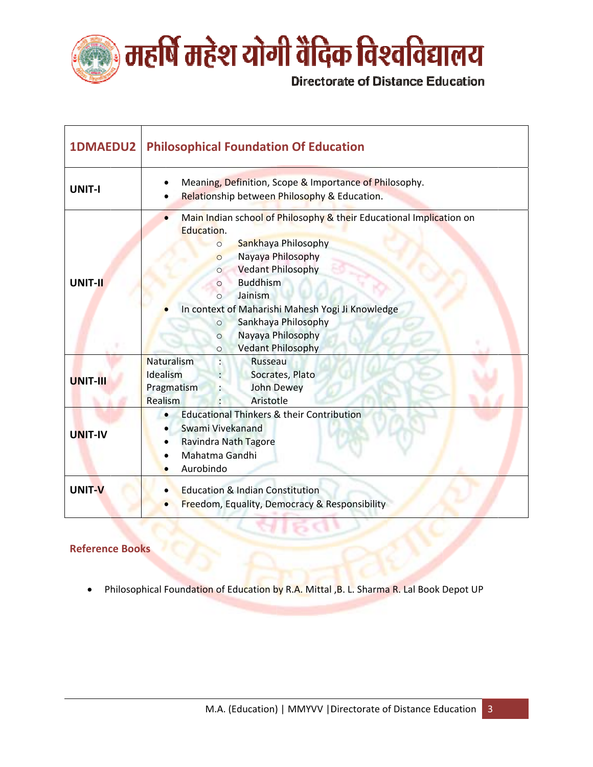

| <b>1DMAEDU2</b> | <b>Philosophical Foundation Of Education</b>                                                                                                                                                                                                                                                                                                                                                                 |
|-----------------|--------------------------------------------------------------------------------------------------------------------------------------------------------------------------------------------------------------------------------------------------------------------------------------------------------------------------------------------------------------------------------------------------------------|
| <b>UNIT-I</b>   | Meaning, Definition, Scope & Importance of Philosophy.<br>Relationship between Philosophy & Education.                                                                                                                                                                                                                                                                                                       |
| UNIT-II         | Main Indian school of Philosophy & their Educational Implication on<br>Education.<br>Sankhaya Philosophy<br>$\circ$<br>Nayaya Philosophy<br>$\circ$<br><b>Vedant Philosophy</b><br>$\circ$<br><b>Buddhism</b><br>$\circ$<br>Jainism<br>$\Omega$<br>In context of Maharishi Mahesh Yogi Ji Knowledge<br>Sankhaya Philosophy<br>$\circ$<br>Nayaya Philosophy<br>$\circ$<br><b>Vedant Philosophy</b><br>$\circ$ |
| <b>UNIT-III</b> | Naturalism<br>Russeau<br>Idealism<br>Socrates, Plato<br>Pragmatism<br><b>John Dewey</b><br>Realism<br>Aristotle                                                                                                                                                                                                                                                                                              |
| <b>UNIT-IV</b>  | <b>Educational Thinkers &amp; their Contribution</b><br>$\bullet$<br>Swami Vivekanand<br>Ravindra Nath Tagore<br>Mahatma Gandhi<br>Aurobindo                                                                                                                                                                                                                                                                 |
| UNIT-V          | <b>Education &amp; Indian Constitution</b><br><b>Freedom, Equality, Democracy &amp; Responsibility</b>                                                                                                                                                                                                                                                                                                       |

Philosophical Foundation of Education by R.A. Mittal, B. L. Sharma R. Lal Book Depot UP  $\bullet$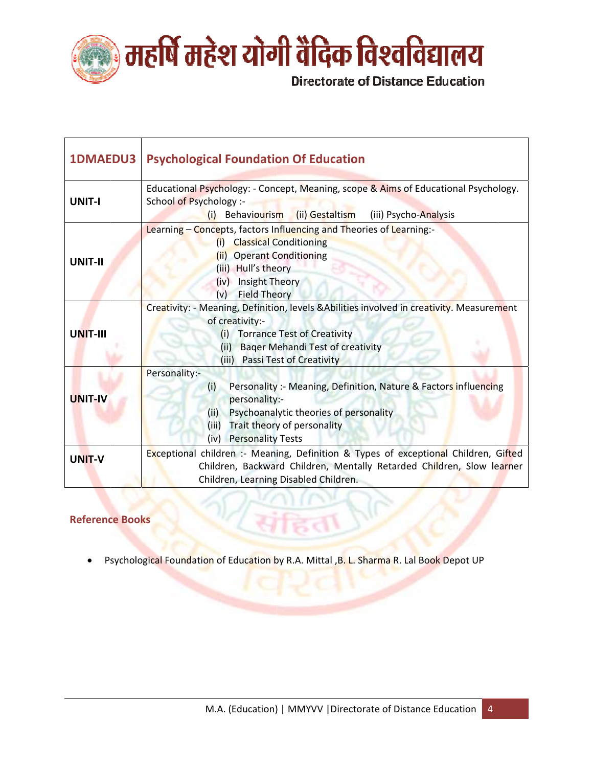

| <b>1DMAEDU3</b> | <b>Psychological Foundation Of Education</b>                                                                                                                                                                                                   |
|-----------------|------------------------------------------------------------------------------------------------------------------------------------------------------------------------------------------------------------------------------------------------|
| <b>UNIT-I</b>   | Educational Psychology: - Concept, Meaning, scope & Aims of Educational Psychology.<br>School of Psychology :-<br>(ii) Gestaltism<br>(iii) Psycho-Analysis<br>Behaviourism<br>(i)                                                              |
| UNIT-II         | Learning - Concepts, factors Influencing and Theories of Learning:-<br><b>Classical Conditioning</b><br>(i)<br>(ii) Operant Conditioning<br>(iii) Hull's theory<br>(iv) Insight Theory<br><b>Field Theory</b><br>(v)                           |
| <b>UNIT-III</b> | Creativity: - Meaning, Definition, levels & Abilities involved in creativity. Measurement<br>of creativity:-<br>(i) Torrance Test of Creativity<br><b>Bager Mehandi Test of creativity</b><br>(ii)<br>(iii)<br><b>Passi Test of Creativity</b> |
| <b>UNIT-IV</b>  | Personality:-<br>Personality :- Meaning, Definition, Nature & Factors influencing<br>(i)<br>personality:-<br>Psychoanalytic theories of personality<br>(iii)<br>Trait theory of personality<br>(iii)<br><b>Personality Tests</b><br>(iv)       |
| <b>UNIT-V</b>   | Exceptional children :- Meaning, Definition & Types of exceptional Children, Gifted<br>Children, Backward Children, Mentally Retarded Children, Slow learner<br>Children, Learning Disabled Children.                                          |

Psychological Foundation of Education by R.A. Mittal, B. L. Sharma R. Lal Book Depot UP  $\bullet$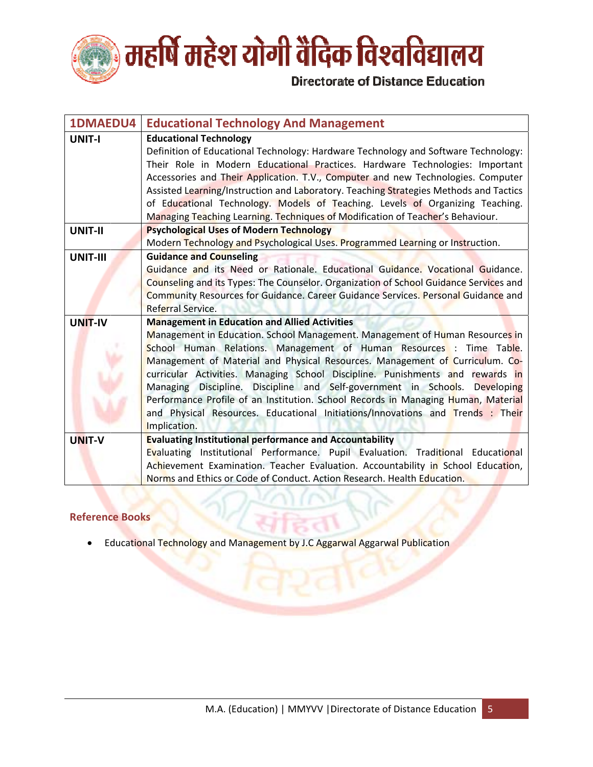

| <b>1DMAEDU4</b> | <b>Educational Technology And Management</b>                                                                                                                                                                                                                                                                                                                                                                                                                                                                                                                                                                                                      |
|-----------------|---------------------------------------------------------------------------------------------------------------------------------------------------------------------------------------------------------------------------------------------------------------------------------------------------------------------------------------------------------------------------------------------------------------------------------------------------------------------------------------------------------------------------------------------------------------------------------------------------------------------------------------------------|
| <b>UNIT-I</b>   | <b>Educational Technology</b><br>Definition of Educational Technology: Hardware Technology and Software Technology:<br>Their Role in Modern Educational Practices. Hardware Technologies: Important<br>Accessories and Their Application. T.V., Computer and new Technologies. Computer<br>Assisted Learning/Instruction and Laboratory. Teaching Strategies Methods and Tactics<br>of Educational Technology. Models of Teaching. Levels of Organizing Teaching.<br>Managing Teaching Learning. Techniques of Modification of Teacher's Behaviour.                                                                                               |
| <b>UNIT-II</b>  | <b>Psychological Uses of Modern Technology</b><br>Modern Technology and Psychological Uses. Programmed Learning or Instruction.                                                                                                                                                                                                                                                                                                                                                                                                                                                                                                                   |
| UNIT-III        | <b>Guidance and Counseling</b><br>Guidance and its Need or Rationale. Educational Guidance. Vocational Guidance.<br>Counseling and its Types: The Counselor. Organization of School Guidance Services and<br>Community Resources for Guidance. Career Guidance Services. Personal Guidance and<br>Referral Service.                                                                                                                                                                                                                                                                                                                               |
| UNIT-IV         | <b>Management in Education and Allied Activities</b><br>Management in Education. School Management. Management of Human Resources in<br>School Human Relations. Management of Human Resources : Time Table.<br>Management of Material and Physical Resources. Management of Curriculum. Co-<br>curricular Activities. Managing School Discipline. Punishments and rewards in<br>Managing Discipline. Discipline and Self-government in Schools. Developing<br>Performance Profile of an Institution. School Records in Managing Human, Material<br>and Physical Resources. Educational Initiations/Innovations and Trends : Their<br>Implication. |
| UNIT-V          | <b>Evaluating Institutional performance and Accountability</b><br>Evaluating Institutional Performance. Pupil Evaluation. Traditional Educational<br>Achievement Examination. Teacher Evaluation. Accountability in School Education,<br>Norms and Ethics or Code of Conduct. Action Research. Health Education.                                                                                                                                                                                                                                                                                                                                  |

Educational Technology and Management by J.C Aggarwal Aggarwal Publication  $\bullet$